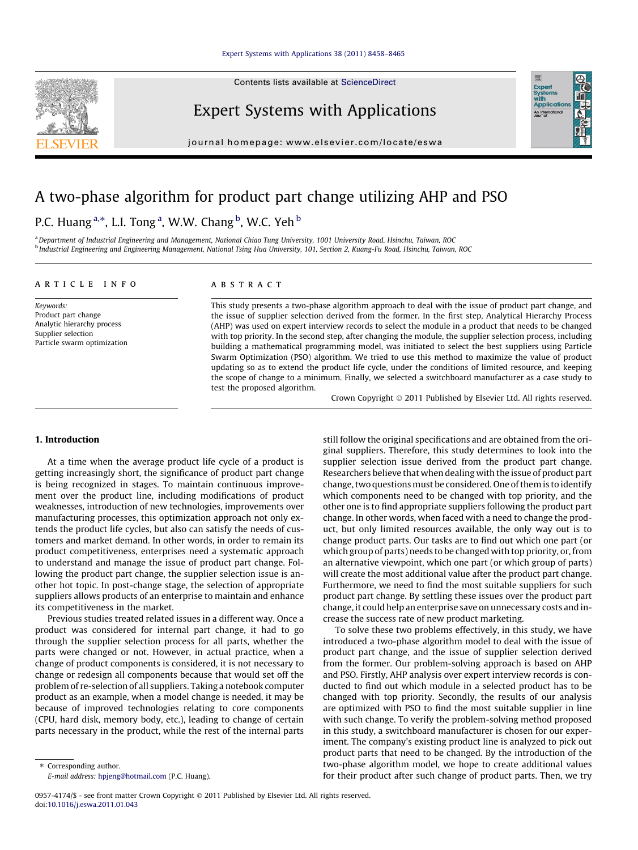## [Expert Systems with Applications 38 \(2011\) 8458–8465](http://dx.doi.org/10.1016/j.eswa.2011.01.043)

Contents lists available at [ScienceDirect](http://www.sciencedirect.com/science/journal/09574174)



Expert Systems with Applications

journal homepage: [www.elsevier.com/locate/eswa](http://www.elsevier.com/locate/eswa)

# A two-phase algorithm for product part change utilizing AHP and PSO

# P.C. Huang <sup>a,</sup>\*, L.I. Tong <sup>a</sup>, W.W. Chang <sup>b</sup>, W.C. Yeh <sup>b</sup>

a Department of Industrial Engineering and Management, National Chiao Tung University, 1001 University Road, Hsinchu, Taiwan, ROC <sup>b</sup> Industrial Engineering and Engineering Management, National Tsing Hua University, 101, Section 2, Kuang-Fu Road, Hsinchu, Taiwan, ROC

### article info

Keywords: Product part change Analytic hierarchy process Supplier selection Particle swarm optimization

# **ARSTRACT**

This study presents a two-phase algorithm approach to deal with the issue of product part change, and the issue of supplier selection derived from the former. In the first step, Analytical Hierarchy Process (AHP) was used on expert interview records to select the module in a product that needs to be changed with top priority. In the second step, after changing the module, the supplier selection process, including building a mathematical programming model, was initiated to select the best suppliers using Particle Swarm Optimization (PSO) algorithm. We tried to use this method to maximize the value of product updating so as to extend the product life cycle, under the conditions of limited resource, and keeping the scope of change to a minimum. Finally, we selected a switchboard manufacturer as a case study to test the proposed algorithm.

Crown Copyright © 2011 Published by Elsevier Ltd. All rights reserved.

Expert<br>Syster

still follow the original specifications and are obtained from the original suppliers. Therefore, this study determines to look into the supplier selection issue derived from the product part change. Researchers believe that when dealing with the issue of product part change, two questions must be considered. One of them is to identify which components need to be changed with top priority, and the other one is to find appropriate suppliers following the product part change. In other words, when faced with a need to change the product, but only limited resources available, the only way out is to change product parts. Our tasks are to find out which one part (or which group of parts) needs to be changed with top priority, or, from an alternative viewpoint, which one part (or which group of parts) will create the most additional value after the product part change. Furthermore, we need to find the most suitable suppliers for such product part change. By settling these issues over the product part change, it could help an enterprise save on unnecessary costs and in-

crease the success rate of new product marketing.

To solve these two problems effectively, in this study, we have introduced a two-phase algorithm model to deal with the issue of product part change, and the issue of supplier selection derived from the former. Our problem-solving approach is based on AHP and PSO. Firstly, AHP analysis over expert interview records is conducted to find out which module in a selected product has to be

two-phase algorithm model, we hope to create additional values

# 1. Introduction

At a time when the average product life cycle of a product is getting increasingly short, the significance of product part change is being recognized in stages. To maintain continuous improvement over the product line, including modifications of product weaknesses, introduction of new technologies, improvements over manufacturing processes, this optimization approach not only extends the product life cycles, but also can satisfy the needs of customers and market demand. In other words, in order to remain its product competitiveness, enterprises need a systematic approach to understand and manage the issue of product part change. Following the product part change, the supplier selection issue is another hot topic. In post-change stage, the selection of appropriate suppliers allows products of an enterprise to maintain and enhance its competitiveness in the market.

Previous studies treated related issues in a different way. Once a product was considered for internal part change, it had to go through the supplier selection process for all parts, whether the parts were changed or not. However, in actual practice, when a change of product components is considered, it is not necessary to change or redesign all components because that would set off the problem of re-selection of all suppliers. Taking a notebook computer product as an example, when a model change is needed, it may be because of improved technologies relating to core components (CPU, hard disk, memory body, etc.), leading to change of certain parts necessary in the product, while the rest of the internal parts

changed with top priority. Secondly, the results of our analysis are optimized with PSO to find the most suitable supplier in line with such change. To verify the problem-solving method proposed in this study, a switchboard manufacturer is chosen for our experiment. The company's existing product line is analyzed to pick out product parts that need to be changed. By the introduction of the

\* Corresponding author. E-mail address: [hpjeng@hotmail.com](mailto:hpjeng@hotmail.com) (P.C. Huang).

for their product after such change of product parts. Then, we try 0957-4174/\$ - see front matter Crown Copyright © 2011 Published by Elsevier Ltd. All rights reserved.

doi:[10.1016/j.eswa.2011.01.043](http://dx.doi.org/10.1016/j.eswa.2011.01.043)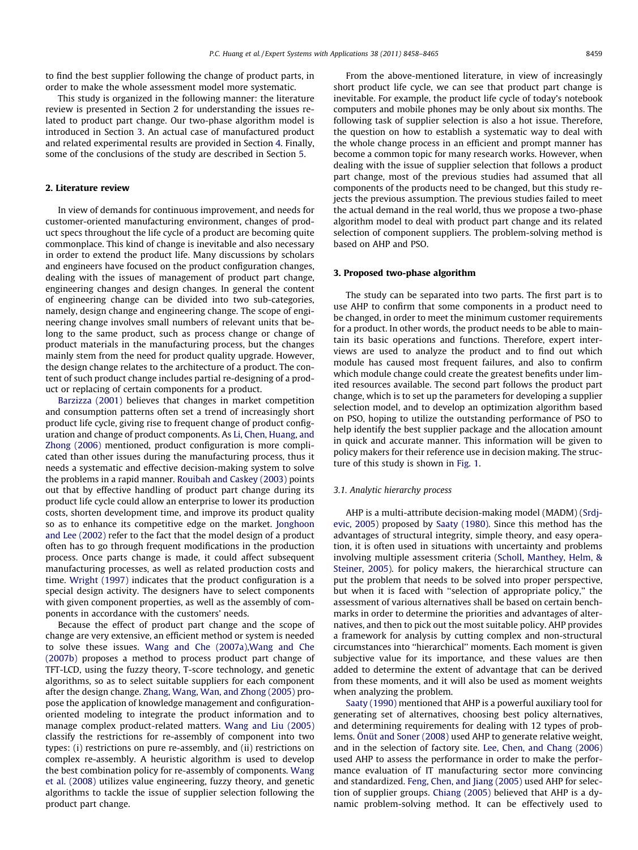to find the best supplier following the change of product parts, in order to make the whole assessment model more systematic.

This study is organized in the following manner: the literature review is presented in Section 2 for understanding the issues related to product part change. Our two-phase algorithm model is introduced in Section 3. An actual case of manufactured product and related experimental results are provided in Section [4](#page--1-0). Finally, some of the conclusions of the study are described in Section [5.](#page--1-0)

## 2. Literature review

In view of demands for continuous improvement, and needs for customer-oriented manufacturing environment, changes of product specs throughout the life cycle of a product are becoming quite commonplace. This kind of change is inevitable and also necessary in order to extend the product life. Many discussions by scholars and engineers have focused on the product configuration changes, dealing with the issues of management of product part change, engineering changes and design changes. In general the content of engineering change can be divided into two sub-categories, namely, design change and engineering change. The scope of engineering change involves small numbers of relevant units that belong to the same product, such as process change or change of product materials in the manufacturing process, but the changes mainly stem from the need for product quality upgrade. However, the design change relates to the architecture of a product. The content of such product change includes partial re-designing of a product or replacing of certain components for a product.

[Barzizza \(2001\)](#page--1-0) believes that changes in market competition and consumption patterns often set a trend of increasingly short product life cycle, giving rise to frequent change of product configuration and change of product components. As [Li, Chen, Huang, and](#page--1-0) [Zhong \(2006\)](#page--1-0) mentioned, product configuration is more complicated than other issues during the manufacturing process, thus it needs a systematic and effective decision-making system to solve the problems in a rapid manner. [Rouibah and Caskey \(2003\)](#page--1-0) points out that by effective handling of product part change during its product life cycle could allow an enterprise to lower its production costs, shorten development time, and improve its product quality so as to enhance its competitive edge on the market. [Jonghoon](#page--1-0) [and Lee \(2002\)](#page--1-0) refer to the fact that the model design of a product often has to go through frequent modifications in the production process. Once parts change is made, it could affect subsequent manufacturing processes, as well as related production costs and time. [Wright \(1997\)](#page--1-0) indicates that the product configuration is a special design activity. The designers have to select components with given component properties, as well as the assembly of components in accordance with the customers' needs.

Because the effect of product part change and the scope of change are very extensive, an efficient method or system is needed to solve these issues. [Wang and Che \(2007a\),Wang and Che](#page--1-0) [\(2007b\)](#page--1-0) proposes a method to process product part change of TFT-LCD, using the fuzzy theory, T-score technology, and genetic algorithms, so as to select suitable suppliers for each component after the design change. [Zhang, Wang, Wan, and Zhong \(2005\)](#page--1-0) propose the application of knowledge management and configurationoriented modeling to integrate the product information and to manage complex product-related matters. [Wang and Liu \(2005\)](#page--1-0) classify the restrictions for re-assembly of component into two types: (i) restrictions on pure re-assembly, and (ii) restrictions on complex re-assembly. A heuristic algorithm is used to develop the best combination policy for re-assembly of components. [Wang](#page--1-0) [et al. \(2008\)](#page--1-0) utilizes value engineering, fuzzy theory, and genetic algorithms to tackle the issue of supplier selection following the product part change.

From the above-mentioned literature, in view of increasingly short product life cycle, we can see that product part change is inevitable. For example, the product life cycle of today's notebook computers and mobile phones may be only about six months. The following task of supplier selection is also a hot issue. Therefore, the question on how to establish a systematic way to deal with the whole change process in an efficient and prompt manner has become a common topic for many research works. However, when dealing with the issue of supplier selection that follows a product part change, most of the previous studies had assumed that all components of the products need to be changed, but this study rejects the previous assumption. The previous studies failed to meet the actual demand in the real world, thus we propose a two-phase algorithm model to deal with product part change and its related selection of component suppliers. The problem-solving method is based on AHP and PSO.

#### 3. Proposed two-phase algorithm

The study can be separated into two parts. The first part is to use AHP to confirm that some components in a product need to be changed, in order to meet the minimum customer requirements for a product. In other words, the product needs to be able to maintain its basic operations and functions. Therefore, expert interviews are used to analyze the product and to find out which module has caused most frequent failures, and also to confirm which module change could create the greatest benefits under limited resources available. The second part follows the product part change, which is to set up the parameters for developing a supplier selection model, and to develop an optimization algorithm based on PSO, hoping to utilize the outstanding performance of PSO to help identify the best supplier package and the allocation amount in quick and accurate manner. This information will be given to policy makers for their reference use in decision making. The structure of this study is shown in [Fig. 1](#page--1-0).

#### 3.1. Analytic hierarchy process

AHP is a multi-attribute decision-making model (MADM) [\(Srdj](#page--1-0)[evic, 2005\)](#page--1-0) proposed by [Saaty \(1980\)](#page--1-0). Since this method has the advantages of structural integrity, simple theory, and easy operation, it is often used in situations with uncertainty and problems involving multiple assessment criteria ([Scholl, Manthey, Helm, &](#page--1-0) [Steiner, 2005\)](#page--1-0). for policy makers, the hierarchical structure can put the problem that needs to be solved into proper perspective, but when it is faced with ''selection of appropriate policy,'' the assessment of various alternatives shall be based on certain benchmarks in order to determine the priorities and advantages of alternatives, and then to pick out the most suitable policy. AHP provides a framework for analysis by cutting complex and non-structural circumstances into ''hierarchical'' moments. Each moment is given subjective value for its importance, and these values are then added to determine the extent of advantage that can be derived from these moments, and it will also be used as moment weights when analyzing the problem.

[Saaty \(1990\)](#page--1-0) mentioned that AHP is a powerful auxiliary tool for generating set of alternatives, choosing best policy alternatives, and determining requirements for dealing with 12 types of problems. [Önüt and Soner \(2008\)](#page--1-0) used AHP to generate relative weight, and in the selection of factory site. [Lee, Chen, and Chang \(2006\)](#page--1-0) used AHP to assess the performance in order to make the performance evaluation of IT manufacturing sector more convincing and standardized. [Feng, Chen, and Jiang \(2005\)](#page--1-0) used AHP for selection of supplier groups. [Chiang \(2005\)](#page--1-0) believed that AHP is a dynamic problem-solving method. It can be effectively used to